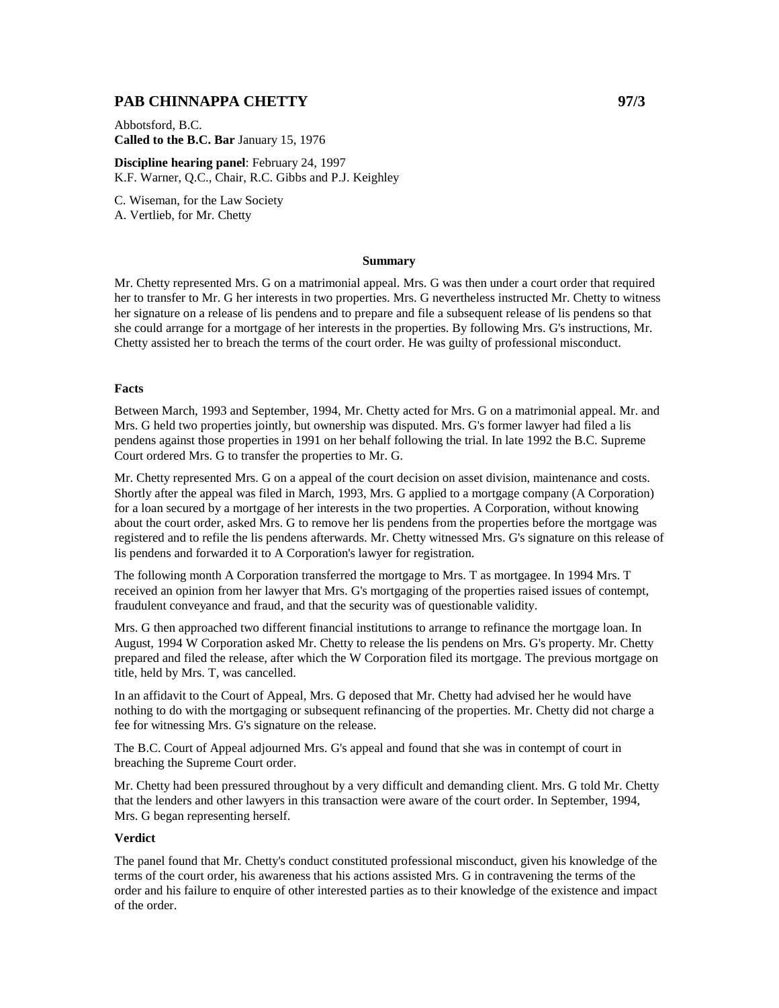## **PAB CHINNAPPA CHETTY** 97/3

Abbotsford, B.C. **Called to the B.C. Bar** January 15, 1976

**Discipline hearing panel**: February 24, 1997 K.F. Warner, Q.C., Chair, R.C. Gibbs and P.J. Keighley

C. Wiseman, for the Law Society A. Vertlieb, for Mr. Chetty

#### **Summary**

Mr. Chetty represented Mrs. G on a matrimonial appeal. Mrs. G was then under a court order that required her to transfer to Mr. G her interests in two properties. Mrs. G nevertheless instructed Mr. Chetty to witness her signature on a release of lis pendens and to prepare and file a subsequent release of lis pendens so that she could arrange for a mortgage of her interests in the properties. By following Mrs. G's instructions, Mr. Chetty assisted her to breach the terms of the court order. He was guilty of professional misconduct.

### **Facts**

Between March, 1993 and September, 1994, Mr. Chetty acted for Mrs. G on a matrimonial appeal. Mr. and Mrs. G held two properties jointly, but ownership was disputed. Mrs. G's former lawyer had filed a lis pendens against those properties in 1991 on her behalf following the trial. In late 1992 the B.C. Supreme Court ordered Mrs. G to transfer the properties to Mr. G.

Mr. Chetty represented Mrs. G on a appeal of the court decision on asset division, maintenance and costs. Shortly after the appeal was filed in March, 1993, Mrs. G applied to a mortgage company (A Corporation) for a loan secured by a mortgage of her interests in the two properties. A Corporation, without knowing about the court order, asked Mrs. G to remove her lis pendens from the properties before the mortgage was registered and to refile the lis pendens afterwards. Mr. Chetty witnessed Mrs. G's signature on this release of lis pendens and forwarded it to A Corporation's lawyer for registration.

The following month A Corporation transferred the mortgage to Mrs. T as mortgagee. In 1994 Mrs. T received an opinion from her lawyer that Mrs. G's mortgaging of the properties raised issues of contempt, fraudulent conveyance and fraud, and that the security was of questionable validity.

Mrs. G then approached two different financial institutions to arrange to refinance the mortgage loan. In August, 1994 W Corporation asked Mr. Chetty to release the lis pendens on Mrs. G's property. Mr. Chetty prepared and filed the release, after which the W Corporation filed its mortgage. The previous mortgage on title, held by Mrs. T, was cancelled.

In an affidavit to the Court of Appeal, Mrs. G deposed that Mr. Chetty had advised her he would have nothing to do with the mortgaging or subsequent refinancing of the properties. Mr. Chetty did not charge a fee for witnessing Mrs. G's signature on the release.

The B.C. Court of Appeal adjourned Mrs. G's appeal and found that she was in contempt of court in breaching the Supreme Court order.

Mr. Chetty had been pressured throughout by a very difficult and demanding client. Mrs. G told Mr. Chetty that the lenders and other lawyers in this transaction were aware of the court order. In September, 1994, Mrs. G began representing herself.

#### **Verdict**

The panel found that Mr. Chetty's conduct constituted professional misconduct, given his knowledge of the terms of the court order, his awareness that his actions assisted Mrs. G in contravening the terms of the order and his failure to enquire of other interested parties as to their knowledge of the existence and impact of the order.